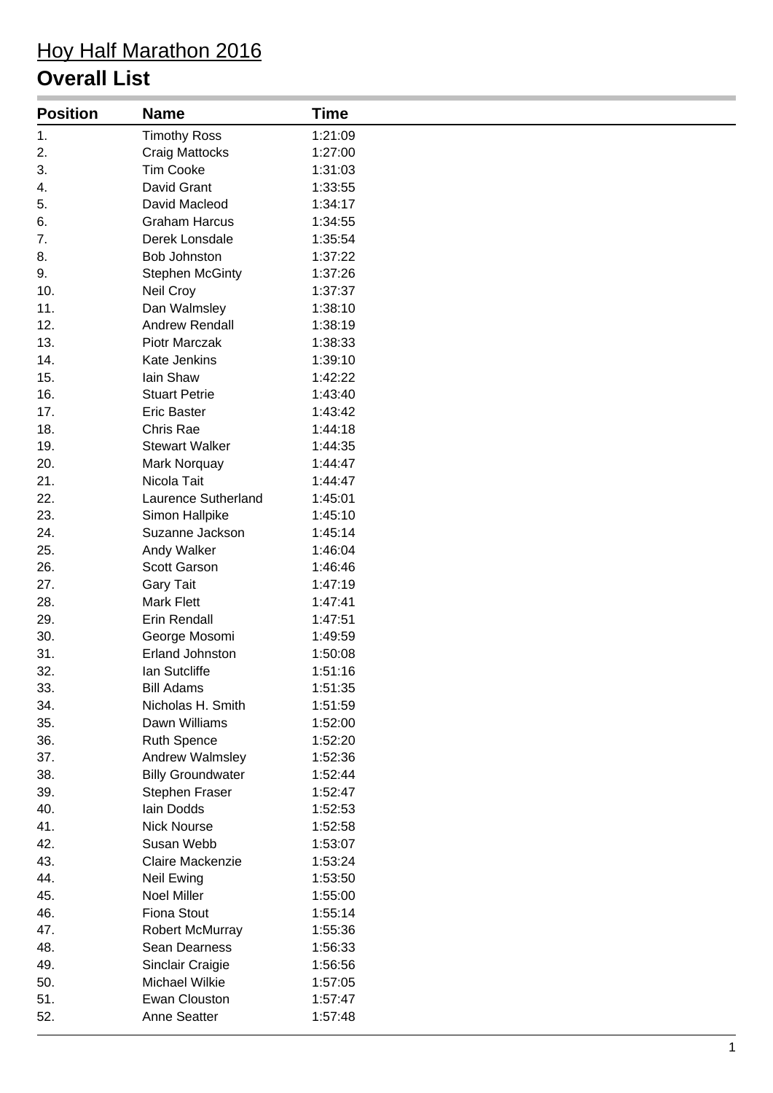# Hoy Half Marathon 2016

### **Overall List**

| <b>Position</b> | <b>Name</b>              | <b>Time</b> |
|-----------------|--------------------------|-------------|
| 1.              | <b>Timothy Ross</b>      | 1:21:09     |
| 2.              | <b>Craig Mattocks</b>    | 1:27:00     |
| 3.              | <b>Tim Cooke</b>         | 1:31:03     |
| 4.              | David Grant              | 1:33:55     |
| 5.              | David Macleod            | 1:34:17     |
| 6.              | <b>Graham Harcus</b>     | 1:34:55     |
| 7.              | Derek Lonsdale           | 1:35:54     |
| 8.              | <b>Bob Johnston</b>      | 1:37:22     |
| 9.              | <b>Stephen McGinty</b>   | 1:37:26     |
| 10.             | Neil Croy                | 1:37:37     |
| 11.             | Dan Walmsley             | 1:38:10     |
| 12.             | Andrew Rendall           | 1:38:19     |
| 13.             | <b>Piotr Marczak</b>     | 1:38:33     |
| 14.             | <b>Kate Jenkins</b>      | 1:39:10     |
| 15.             | Iain Shaw                | 1:42:22     |
| 16.             | <b>Stuart Petrie</b>     | 1:43:40     |
| 17.             | <b>Eric Baster</b>       | 1:43:42     |
| 18.             | Chris Rae                | 1:44:18     |
| 19.             | <b>Stewart Walker</b>    | 1:44:35     |
| 20.             | Mark Norquay             | 1:44:47     |
| 21.             | Nicola Tait              | 1:44:47     |
| 22.             | Laurence Sutherland      | 1:45:01     |
| 23.             | Simon Hallpike           | 1:45:10     |
| 24.             | Suzanne Jackson          | 1:45:14     |
| 25.             | Andy Walker              | 1:46:04     |
| 26.             | Scott Garson             | 1:46:46     |
| 27.             | <b>Gary Tait</b>         | 1:47:19     |
| 28.             | <b>Mark Flett</b>        | 1:47:41     |
| 29.             | Erin Rendall             | 1:47:51     |
| 30.             | George Mosomi            | 1:49:59     |
| 31.             | <b>Erland Johnston</b>   | 1:50:08     |
| 32.             | Ian Sutcliffe            | 1:51:16     |
| 33.             | <b>Bill Adams</b>        | 1:51:35     |
| 34.             | Nicholas H. Smith        | 1:51:59     |
| 35.             | Dawn Williams            | 1:52:00     |
| 36.             | <b>Ruth Spence</b>       | 1:52:20     |
| 37.             | Andrew Walmsley          | 1:52:36     |
| 38.             | <b>Billy Groundwater</b> | 1:52:44     |
| 39.             | Stephen Fraser           | 1:52:47     |
| 40.             | Iain Dodds               | 1:52:53     |
| 41.             | <b>Nick Nourse</b>       | 1:52:58     |
| 42.             | Susan Webb               | 1:53:07     |
| 43.             | Claire Mackenzie         | 1:53:24     |
| 44.             | Neil Ewing               | 1:53:50     |
| 45.             | Noel Miller              | 1:55:00     |
| 46.             | <b>Fiona Stout</b>       | 1:55:14     |
| 47.             | <b>Robert McMurray</b>   | 1:55:36     |
| 48.             | Sean Dearness            | 1:56:33     |
| 49.             | Sinclair Craigie         | 1:56:56     |
| 50.             | Michael Wilkie           | 1:57:05     |
| 51.             | Ewan Clouston            | 1:57:47     |
| 52.             | Anne Seatter             | 1:57:48     |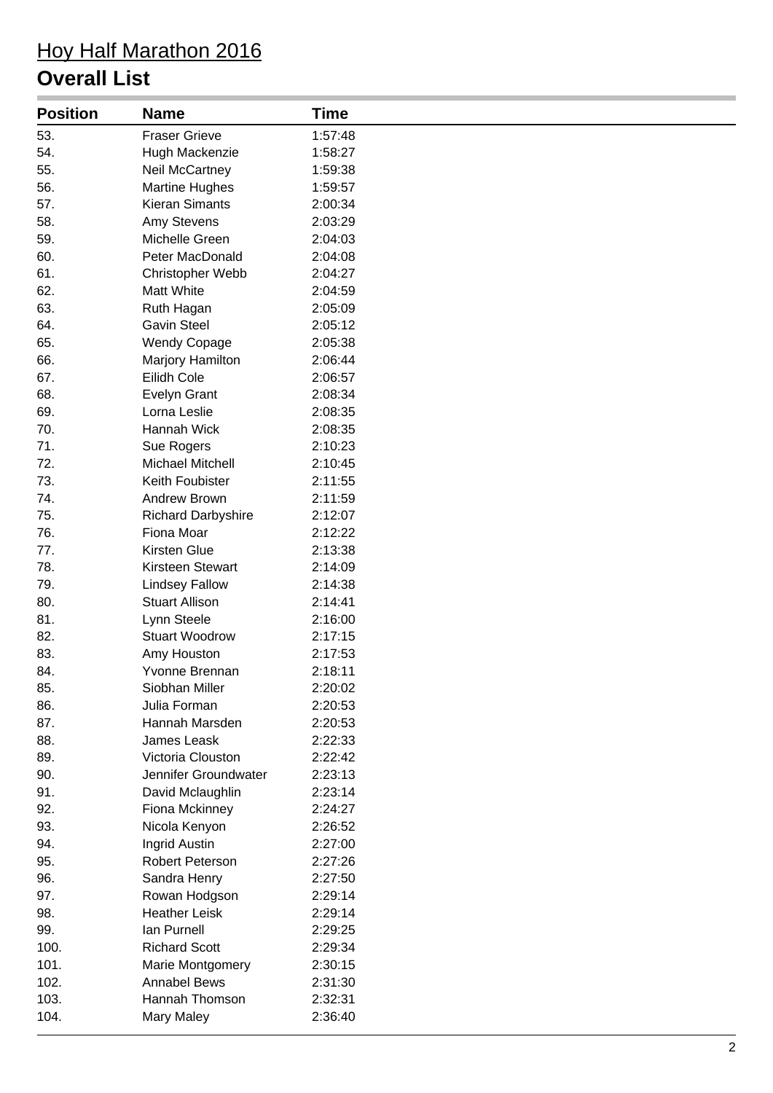# Hoy Half Marathon 2016

### **Overall List**

| <b>Position</b> | <b>Name</b>               | <b>Time</b> |
|-----------------|---------------------------|-------------|
| 53.             | <b>Fraser Grieve</b>      | 1:57:48     |
| 54.             | Hugh Mackenzie            | 1:58:27     |
| 55.             | <b>Neil McCartney</b>     | 1:59:38     |
| 56.             | <b>Martine Hughes</b>     | 1:59:57     |
| 57.             | <b>Kieran Simants</b>     | 2:00:34     |
| 58.             | Amy Stevens               | 2:03:29     |
| 59.             | Michelle Green            | 2:04:03     |
| 60.             | Peter MacDonald           | 2:04:08     |
| 61.             | Christopher Webb          | 2:04:27     |
| 62.             | Matt White                | 2:04:59     |
| 63.             | Ruth Hagan                | 2:05:09     |
| 64.             | <b>Gavin Steel</b>        | 2:05:12     |
| 65.             | <b>Wendy Copage</b>       | 2:05:38     |
| 66.             | Marjory Hamilton          | 2:06:44     |
| 67.             | Eilidh Cole               | 2:06:57     |
| 68.             | Evelyn Grant              | 2:08:34     |
| 69.             | Lorna Leslie              | 2:08:35     |
| 70.             | Hannah Wick               | 2:08:35     |
| 71.             | Sue Rogers                | 2:10:23     |
| 72.             | <b>Michael Mitchell</b>   | 2:10:45     |
| 73.             | Keith Foubister           | 2:11:55     |
| 74.             | Andrew Brown              | 2:11:59     |
| 75.             | <b>Richard Darbyshire</b> | 2:12:07     |
| 76.             | Fiona Moar                | 2:12:22     |
| 77.             | Kirsten Glue              | 2:13:38     |
| 78.             | Kirsteen Stewart          | 2:14:09     |
| 79.             | <b>Lindsey Fallow</b>     | 2:14:38     |
| 80.             | <b>Stuart Allison</b>     | 2:14:41     |
| 81.             | Lynn Steele               | 2:16:00     |
| 82.             | <b>Stuart Woodrow</b>     | 2:17:15     |
| 83.             | Amy Houston               | 2:17:53     |
| 84.             | Yvonne Brennan            | 2:18:11     |
| 85.             | Siobhan Miller            | 2:20:02     |
| 86.             | Julia Forman              | 2:20:53     |
| 87.             | Hannah Marsden            | 2:20:53     |
| 88.             | James Leask               | 2:22:33     |
| 89.             | Victoria Clouston         | 2:22:42     |
| 90.             | Jennifer Groundwater      | 2:23:13     |
| 91.             | David Mclaughlin          | 2:23:14     |
| 92.             | Fiona Mckinney            | 2:24:27     |
| 93.             | Nicola Kenyon             | 2:26:52     |
| 94.             | Ingrid Austin             | 2:27:00     |
| 95.             | Robert Peterson           | 2:27:26     |
| 96.             | Sandra Henry              | 2:27:50     |
| 97.             | Rowan Hodgson             | 2:29:14     |
| 98.             | <b>Heather Leisk</b>      | 2:29:14     |
| 99.             | Ian Purnell               | 2:29:25     |
| 100.            | <b>Richard Scott</b>      | 2:29:34     |
| 101.            | Marie Montgomery          | 2:30:15     |
| 102.            | <b>Annabel Bews</b>       | 2:31:30     |
| 103.            | Hannah Thomson            | 2:32:31     |
| 104.            | Mary Maley                | 2:36:40     |